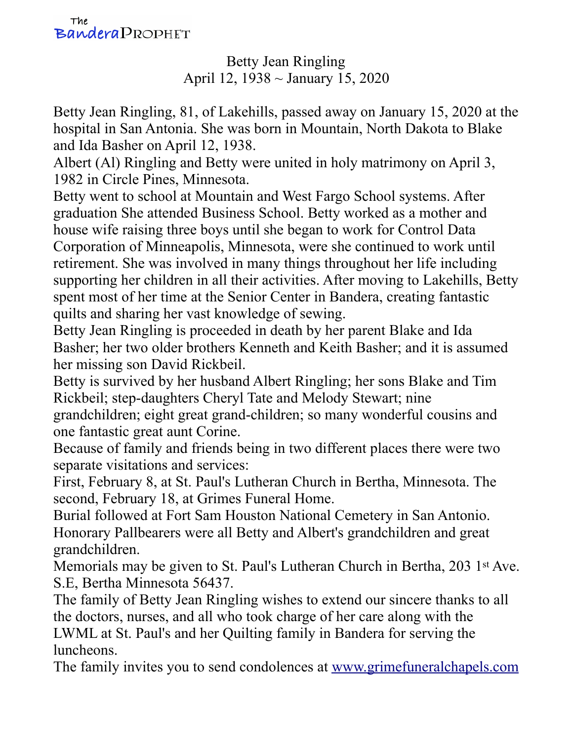Betty Jean Ringling April 12, 1938 ~ January 15, 2020

Betty Jean Ringling, 81, of Lakehills, passed away on January 15, 2020 at the hospital in San Antonia. She was born in Mountain, North Dakota to Blake and Ida Basher on April 12, 1938.

Albert (Al) Ringling and Betty were united in holy matrimony on April 3, 1982 in Circle Pines, Minnesota.

Betty went to school at Mountain and West Fargo School systems. After graduation She attended Business School. Betty worked as a mother and house wife raising three boys until she began to work for Control Data Corporation of Minneapolis, Minnesota, were she continued to work until retirement. She was involved in many things throughout her life including supporting her children in all their activities. After moving to Lakehills, Betty spent most of her time at the Senior Center in Bandera, creating fantastic quilts and sharing her vast knowledge of sewing.

Betty Jean Ringling is proceeded in death by her parent Blake and Ida Basher; her two older brothers Kenneth and Keith Basher; and it is assumed her missing son David Rickbeil.

Betty is survived by her husband Albert Ringling; her sons Blake and Tim Rickbeil; step-daughters Cheryl Tate and Melody Stewart; nine

grandchildren; eight great grand-children; so many wonderful cousins and one fantastic great aunt Corine.

Because of family and friends being in two different places there were two separate visitations and services:

First, February 8, at St. Paul's Lutheran Church in Bertha, Minnesota. The second, February 18, at Grimes Funeral Home.

Burial followed at Fort Sam Houston National Cemetery in San Antonio. Honorary Pallbearers were all Betty and Albert's grandchildren and great grandchildren.

Memorials may be given to St. Paul's Lutheran Church in Bertha, 203 1st Ave. S.E, Bertha Minnesota 56437.

The family of Betty Jean Ringling wishes to extend our sincere thanks to all the doctors, nurses, and all who took charge of her care along with the LWML at St. Paul's and her Quilting family in Bandera for serving the luncheons.

The family invites you to send condolences at [www.grimefuneralchapels.com](http://www.grimefuneralchapels.com/)